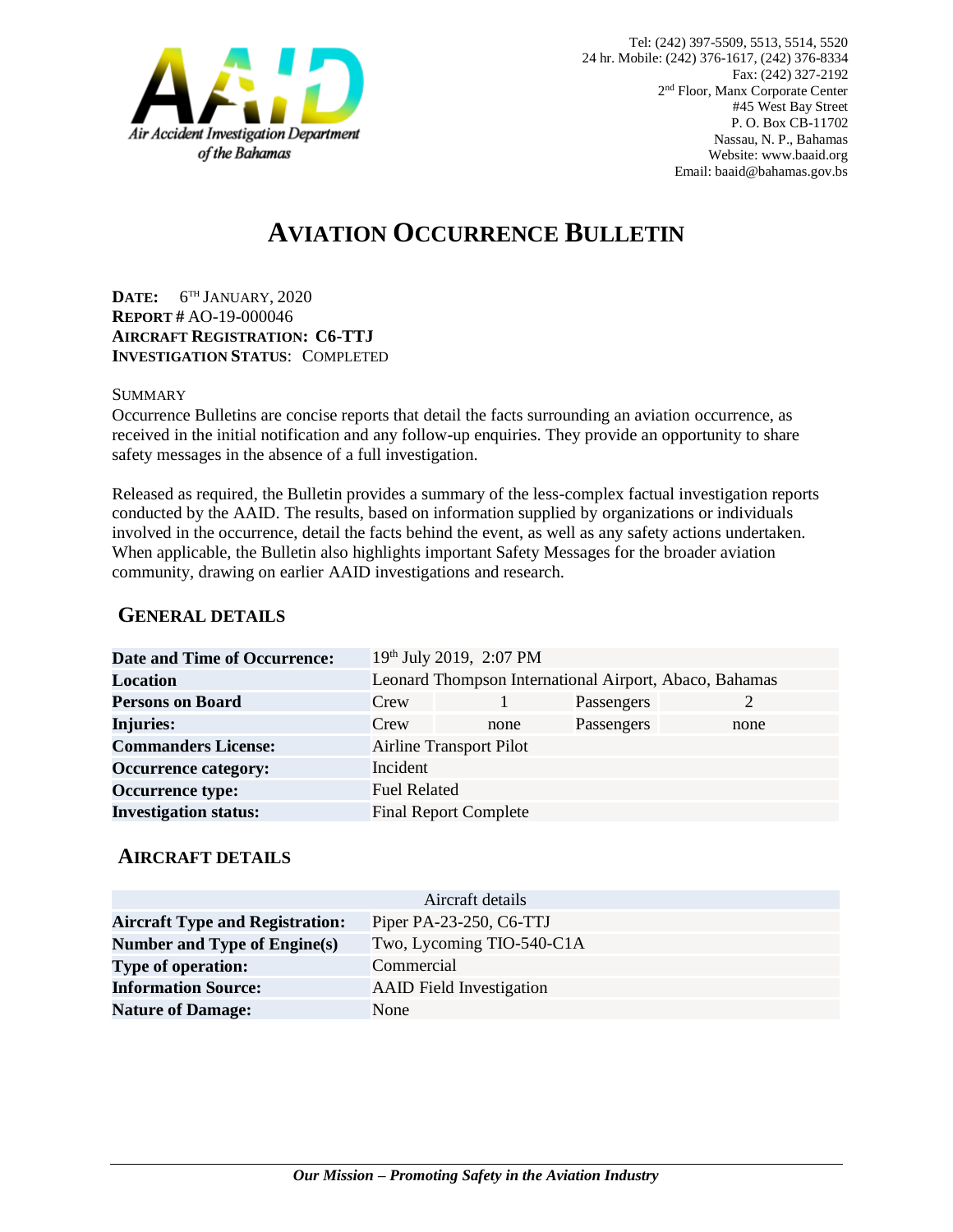

# **AVIATION OCCURRENCE BULLETIN**

**DATE:** 6 TH JANUARY, 2020 **REPORT #** AO-19-000046 **AIRCRAFT REGISTRATION: C6-TTJ INVESTIGATION STATUS**: COMPLETED

#### SUMMARY

Occurrence Bulletins are concise reports that detail the facts surrounding an aviation occurrence, as received in the initial notification and any follow-up enquiries. They provide an opportunity to share safety messages in the absence of a full investigation*.*

Released as required, the Bulletin provides a summary of the less-complex factual investigation reports conducted by the AAID. The results, based on information supplied by organizations or individuals involved in the occurrence, detail the facts behind the event, as well as any safety actions undertaken. When applicable, the Bulletin also highlights important Safety Messages for the broader aviation community, drawing on earlier AAID investigations and research.

### **GENERAL DETAILS**

| <b>Date and Time of Occurrence:</b> |                                | 19th July 2019, 2:07 PM                                |            |      |
|-------------------------------------|--------------------------------|--------------------------------------------------------|------------|------|
| <b>Location</b>                     |                                | Leonard Thompson International Airport, Abaco, Bahamas |            |      |
| <b>Persons on Board</b>             | Crew                           |                                                        | Passengers |      |
| <b>Injuries:</b>                    | Crew                           | none                                                   | Passengers | none |
| <b>Commanders License:</b>          | <b>Airline Transport Pilot</b> |                                                        |            |      |
| <b>Occurrence category:</b>         | Incident                       |                                                        |            |      |
| <b>Occurrence type:</b>             | <b>Fuel Related</b>            |                                                        |            |      |
| <b>Investigation status:</b>        |                                | <b>Final Report Complete</b>                           |            |      |

#### **AIRCRAFT DETAILS**

|                                        | Aircraft details                |
|----------------------------------------|---------------------------------|
| <b>Aircraft Type and Registration:</b> | Piper PA-23-250, C6-TTJ         |
| Number and Type of Engine(s)           | Two, Lycoming TIO-540-C1A       |
| <b>Type of operation:</b>              | Commercial                      |
| <b>Information Source:</b>             | <b>AAID</b> Field Investigation |
| <b>Nature of Damage:</b>               | None                            |